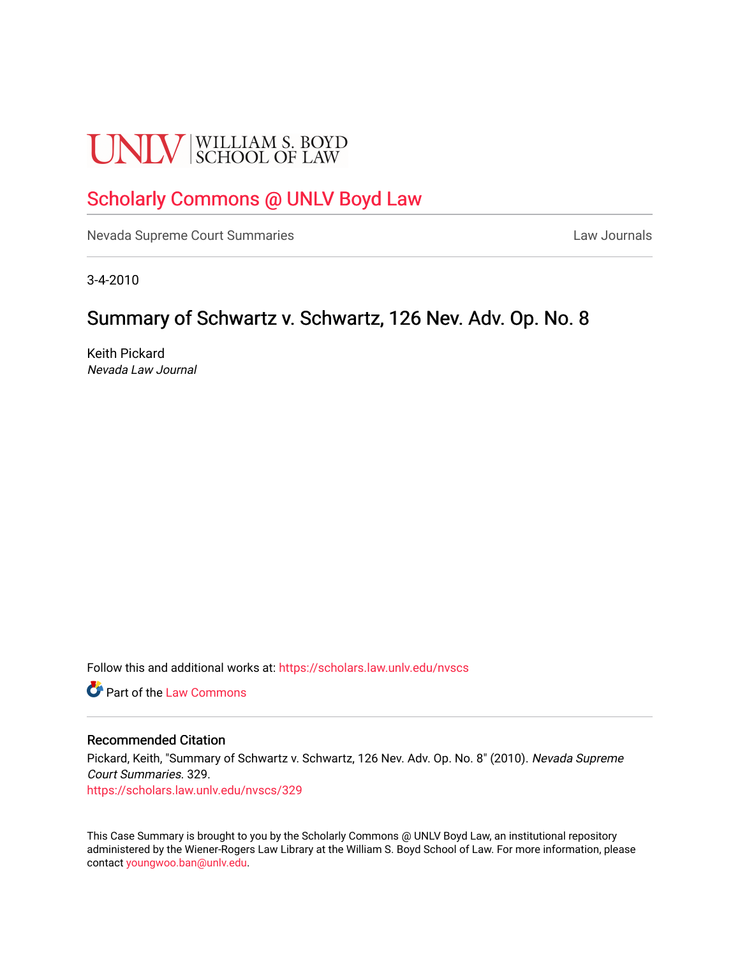# **UNLV** SCHOOL OF LAW

## [Scholarly Commons @ UNLV Boyd Law](https://scholars.law.unlv.edu/)

[Nevada Supreme Court Summaries](https://scholars.law.unlv.edu/nvscs) **Law Journals** Law Journals

3-4-2010

### Summary of Schwartz v. Schwartz, 126 Nev. Adv. Op. No. 8

Keith Pickard Nevada Law Journal

Follow this and additional works at: [https://scholars.law.unlv.edu/nvscs](https://scholars.law.unlv.edu/nvscs?utm_source=scholars.law.unlv.edu%2Fnvscs%2F329&utm_medium=PDF&utm_campaign=PDFCoverPages)

**C** Part of the [Law Commons](http://network.bepress.com/hgg/discipline/578?utm_source=scholars.law.unlv.edu%2Fnvscs%2F329&utm_medium=PDF&utm_campaign=PDFCoverPages)

#### Recommended Citation

Pickard, Keith, "Summary of Schwartz v. Schwartz, 126 Nev. Adv. Op. No. 8" (2010). Nevada Supreme Court Summaries. 329. [https://scholars.law.unlv.edu/nvscs/329](https://scholars.law.unlv.edu/nvscs/329?utm_source=scholars.law.unlv.edu%2Fnvscs%2F329&utm_medium=PDF&utm_campaign=PDFCoverPages)

This Case Summary is brought to you by the Scholarly Commons @ UNLV Boyd Law, an institutional repository administered by the Wiener-Rogers Law Library at the William S. Boyd School of Law. For more information, please contact [youngwoo.ban@unlv.edu](mailto:youngwoo.ban@unlv.edu).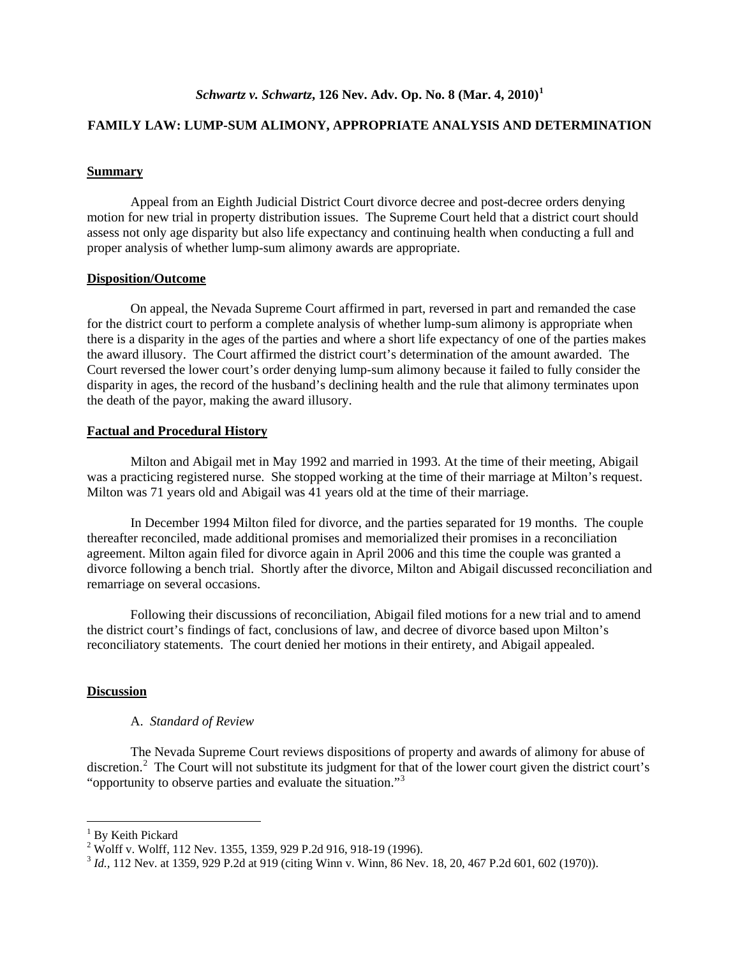#### **FAMILY LAW: LUMP-SUM ALIMONY, APPROPRIATE ANALYSIS AND DETERMINATION**

#### **Summary**

Appeal from an Eighth Judicial District Court divorce decree and post-decree orders denying motion for new trial in property distribution issues. The Supreme Court held that a district court should assess not only age disparity but also life expectancy and continuing health when conducting a full and proper analysis of whether lump-sum alimony awards are appropriate.

#### **Disposition/Outcome**

On appeal, the Nevada Supreme Court affirmed in part, reversed in part and remanded the case for the district court to perform a complete analysis of whether lump-sum alimony is appropriate when there is a disparity in the ages of the parties and where a short life expectancy of one of the parties makes the award illusory. The Court affirmed the district court's determination of the amount awarded. The Court reversed the lower court's order denying lump-sum alimony because it failed to fully consider the disparity in ages, the record of the husband's declining health and the rule that alimony terminates upon the death of the payor, making the award illusory.

#### **Factual and Procedural History**

Milton and Abigail met in May 1992 and married in 1993. At the time of their meeting, Abigail was a practicing registered nurse. She stopped working at the time of their marriage at Milton's request. Milton was 71 years old and Abigail was 41 years old at the time of their marriage.

In December 1994 Milton filed for divorce, and the parties separated for 19 months. The couple thereafter reconciled, made additional promises and memorialized their promises in a reconciliation agreement. Milton again filed for divorce again in April 2006 and this time the couple was granted a divorce following a bench trial. Shortly after the divorce, Milton and Abigail discussed reconciliation and remarriage on several occasions.

Following their discussions of reconciliation, Abigail filed motions for a new trial and to amend the district court's findings of fact, conclusions of law, and decree of divorce based upon Milton's reconciliatory statements. The court denied her motions in their entirety, and Abigail appealed.

#### **Discussion**

#### A. *Standard of Review*

The Nevada Supreme Court reviews dispositions of property and awards of alimony for abuse of discretion.<sup>[2](#page-1-1)</sup> The Court will not substitute its judgment for that of the lower court given the district court's "opportunity to observe parties and evaluate the situation."<sup>[3](#page-1-2)</sup>

<span id="page-1-1"></span><span id="page-1-0"></span> $^{1}$  By Keith Pickard<br> $^{2}$  Wolff v. Wolff, 112 Nev. 1355, 1359, 929 P.2d 916, 918-19 (1996).

<span id="page-1-2"></span><sup>&</sup>lt;sup>3</sup> *Id.*, 112 Nev. at 1359, 929 P.2d at 919 (citing Winn v. Winn, 86 Nev. 18, 20, 467 P.2d 601, 602 (1970)).